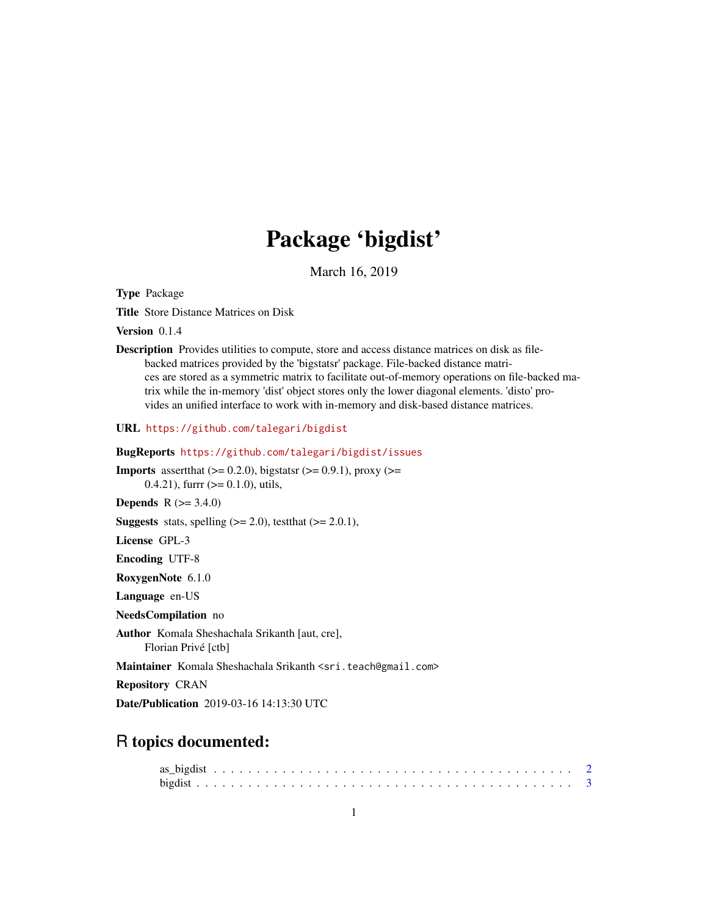## Package 'bigdist'

March 16, 2019

<span id="page-0-0"></span>Type Package

Title Store Distance Matrices on Disk

Version 0.1.4

Description Provides utilities to compute, store and access distance matrices on disk as filebacked matrices provided by the 'bigstatsr' package. File-backed distance matrices are stored as a symmetric matrix to facilitate out-of-memory operations on file-backed matrix while the in-memory 'dist' object stores only the lower diagonal elements. 'disto' provides an unified interface to work with in-memory and disk-based distance matrices.

URL <https://github.com/talegari/bigdist>

BugReports <https://github.com/talegari/bigdist/issues>

**Imports** assert that  $(>= 0.2.0)$ , bigstats  $(>= 0.9.1)$ , proxy  $(>= 0.9.1)$  $(0.4.21)$ , furrr ( $>= 0.1.0$ ), utils,

**Depends** R  $(>= 3.4.0)$ 

**Suggests** stats, spelling  $(>= 2.0)$ , test that  $(>= 2.0.1)$ ,

License GPL-3

Encoding UTF-8

RoxygenNote 6.1.0

Language en-US

NeedsCompilation no

Author Komala Sheshachala Srikanth [aut, cre],

Florian Privé [ctb]

Maintainer Komala Sheshachala Srikanth <sri.teach@gmail.com>

Repository CRAN

Date/Publication 2019-03-16 14:13:30 UTC

## R topics documented: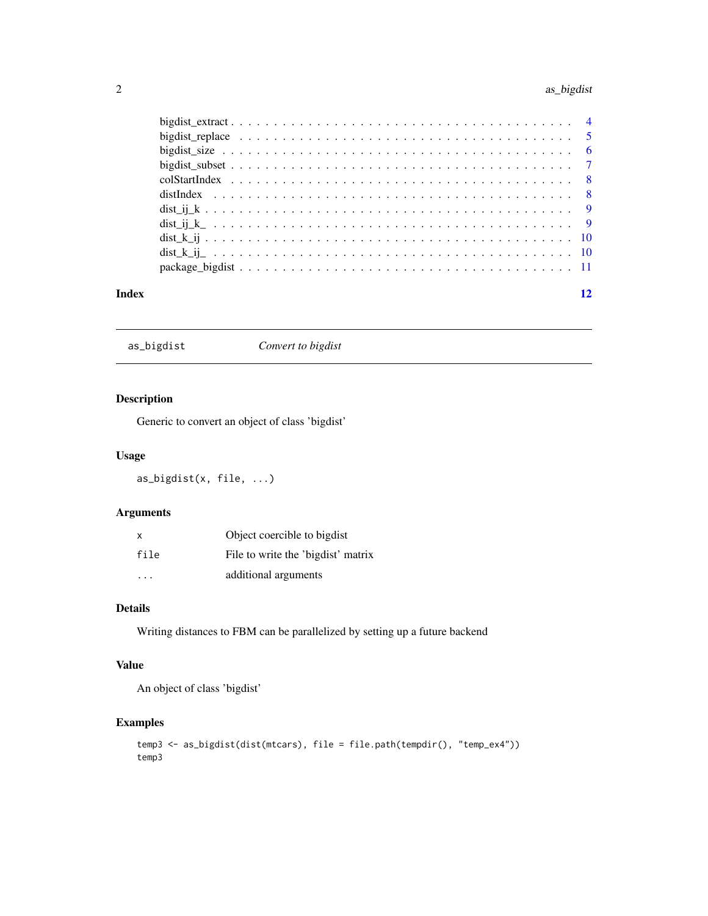## <span id="page-1-0"></span>2 as\_bigdist ass=bigdist

#### **Index** [12](#page-11-0)

as\_bigdist *Convert to bigdist*

## Description

Generic to convert an object of class 'bigdist'

#### Usage

as\_bigdist(x, file, ...)

#### Arguments

| x                       | Object coercible to bigdist        |
|-------------------------|------------------------------------|
| file                    | File to write the 'bigdist' matrix |
| $\cdot$ $\cdot$ $\cdot$ | additional arguments               |

## Details

Writing distances to FBM can be parallelized by setting up a future backend

#### Value

An object of class 'bigdist'

#### Examples

```
temp3 <- as_bigdist(dist(mtcars), file = file.path(tempdir(), "temp_ex4"))
temp3
```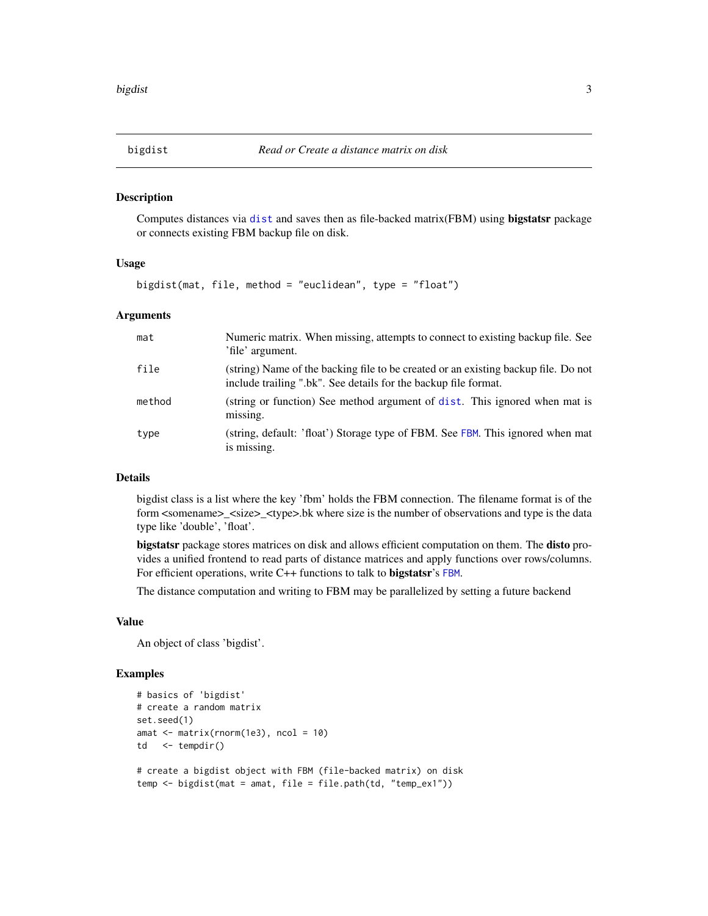<span id="page-2-0"></span>

#### Description

Computes distances via [dist](#page-0-0) and saves then as file-backed matrix(FBM) using bigstatsr package or connects existing FBM backup file on disk.

#### Usage

bigdist(mat, file, method = "euclidean", type = "float")

#### Arguments

| mat    | Numeric matrix. When missing, attempts to connect to existing backup file. See<br>'file' argument.                                                    |
|--------|-------------------------------------------------------------------------------------------------------------------------------------------------------|
| file   | (string) Name of the backing file to be created or an existing backup file. Do not<br>include trailing ".bk". See details for the backup file format. |
| method | (string or function) See method argument of dist. This ignored when mat is<br>missing.                                                                |
| type   | (string, default: 'float') Storage type of FBM. See FBM. This ignored when mat<br>is missing.                                                         |

#### Details

bigdist class is a list where the key 'fbm' holds the FBM connection. The filename format is of the form <somename>\_<size>\_<type>.bk where size is the number of observations and type is the data type like 'double', 'float'.

bigstatsr package stores matrices on disk and allows efficient computation on them. The disto provides a unified frontend to read parts of distance matrices and apply functions over rows/columns. For efficient operations, write C++ functions to talk to bigstatsr's [FBM](#page-0-0).

The distance computation and writing to FBM may be parallelized by setting a future backend

#### Value

An object of class 'bigdist'.

#### Examples

```
# basics of 'bigdist'
# create a random matrix
set.seed(1)
amat \leq matrix(rnorm(1e3), ncol = 10)
td <- tempdir()
# create a bigdist object with FBM (file-backed matrix) on disk
temp <- bigdist(mat = amat, file = file.path(td, "temp_ex1"))
```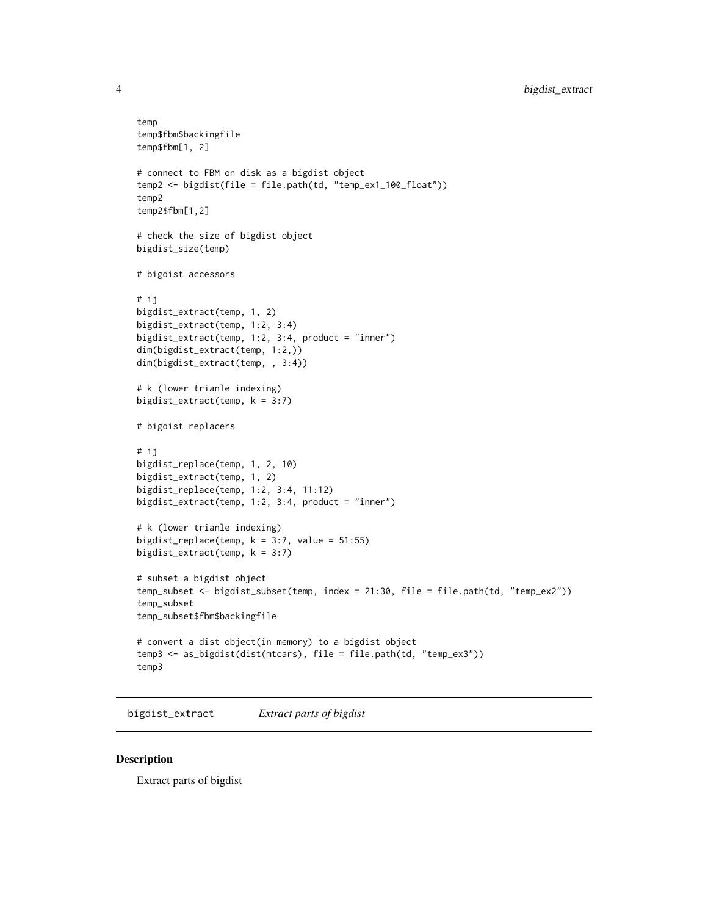```
temp
temp$fbm$backingfile
temp$fbm[1, 2]
# connect to FBM on disk as a bigdist object
temp2 <- bigdist(file = file.path(td, "temp_ex1_100_float"))
temp2
temp2$fbm[1,2]
# check the size of bigdist object
bigdist_size(temp)
# bigdist accessors
# ij
bigdist_extract(temp, 1, 2)
bigdist_extract(temp, 1:2, 3:4)
bigdist_extract(temp, 1:2, 3:4, product = "inner")
dim(bigdist_extract(temp, 1:2,))
dim(bigdist_extract(temp, , 3:4))
# k (lower trianle indexing)
bigdist_extract(temp, k = 3:7)
# bigdist replacers
# ij
bigdist_replace(temp, 1, 2, 10)
bigdist_extract(temp, 1, 2)
bigdist_replace(temp, 1:2, 3:4, 11:12)
bigdist_extract(temp, 1:2, 3:4, product = "inner")
# k (lower trianle indexing)
bigdist_replace(temp, k = 3:7, value = 51:55)
bigdist_extract(temp, k = 3:7)
# subset a bigdist object
temp_subset <- bigdist_subset(temp, index = 21:30, file = file.path(td, "temp_ex2"))
temp_subset
temp_subset$fbm$backingfile
# convert a dist object(in memory) to a bigdist object
temp3 <- as_bigdist(dist(mtcars), file = file.path(td, "temp_ex3"))
temp3
```
bigdist\_extract *Extract parts of bigdist*

#### Description

Extract parts of bigdist

<span id="page-3-0"></span>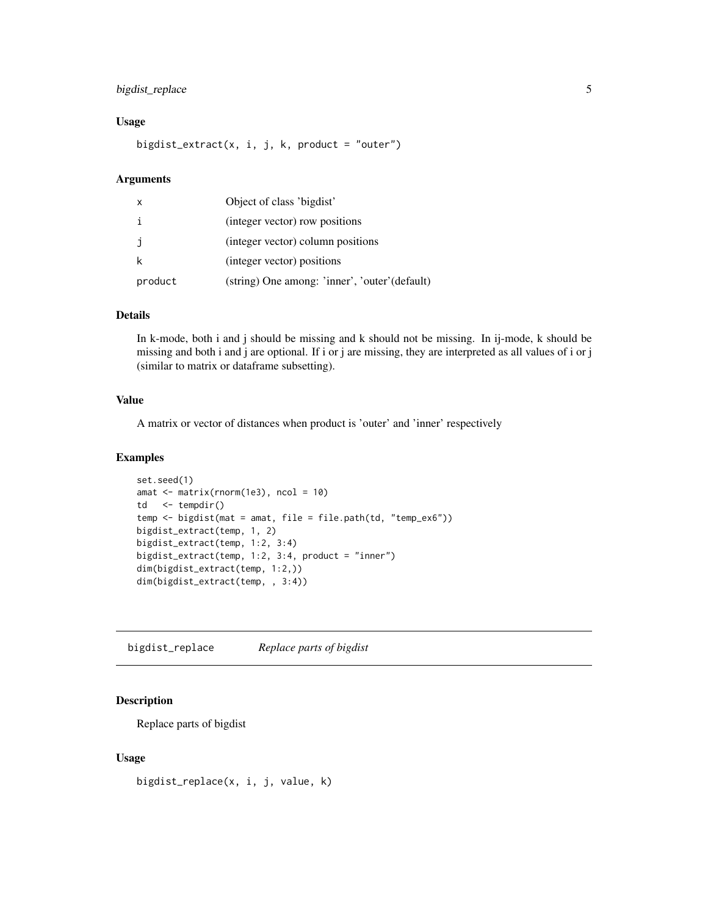#### <span id="page-4-0"></span>bigdist\_replace 5

#### Usage

bigdist\_extract(x, i, j, k, product = "outer")

#### Arguments

| $\mathsf{x}$ | Object of class 'bigdist'                      |
|--------------|------------------------------------------------|
|              | (integer vector) row positions                 |
| j            | (integer vector) column positions              |
| k            | (integer vector) positions                     |
| product      | (string) One among: 'inner', 'outer' (default) |

#### Details

In k-mode, both i and j should be missing and k should not be missing. In ij-mode, k should be missing and both i and j are optional. If i or j are missing, they are interpreted as all values of i or j (similar to matrix or dataframe subsetting).

#### Value

A matrix or vector of distances when product is 'outer' and 'inner' respectively

#### Examples

```
set.seed(1)
amat <- matrix(rnorm(1e3), ncol = 10)
td <- tempdir()
temp <- bigdist(mat = amat, file = file.path(td, "temp_ex6"))
bigdist_extract(temp, 1, 2)
bigdist_extract(temp, 1:2, 3:4)
bigdist_extract(temp, 1:2, 3:4, product = "inner")
dim(bigdist_extract(temp, 1:2,))
dim(bigdist_extract(temp, , 3:4))
```
bigdist\_replace *Replace parts of bigdist*

#### Description

Replace parts of bigdist

#### Usage

bigdist\_replace(x, i, j, value, k)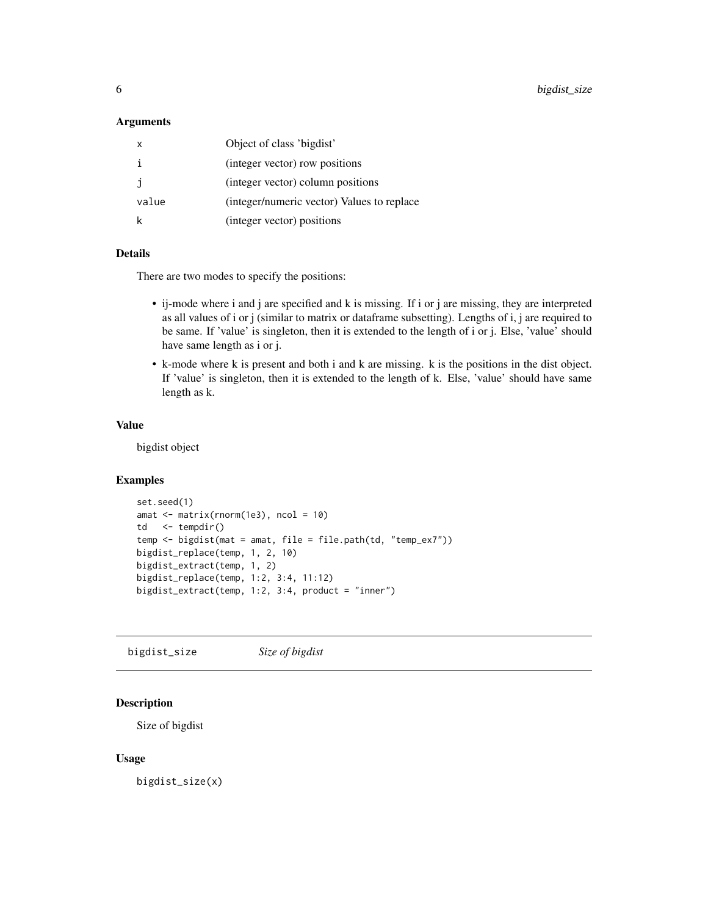#### <span id="page-5-0"></span>Arguments

| $\mathsf{x}$ | Object of class 'bigdist'                  |
|--------------|--------------------------------------------|
|              | (integer vector) row positions             |
|              | (integer vector) column positions          |
| value        | (integer/numeric vector) Values to replace |
|              | (integer vector) positions                 |

#### Details

There are two modes to specify the positions:

- ij-mode where i and j are specified and k is missing. If i or j are missing, they are interpreted as all values of i or j (similar to matrix or dataframe subsetting). Lengths of i, j are required to be same. If 'value' is singleton, then it is extended to the length of i or j. Else, 'value' should have same length as i or j.
- k-mode where k is present and both i and k are missing. k is the positions in the dist object. If 'value' is singleton, then it is extended to the length of k. Else, 'value' should have same length as k.

#### Value

bigdist object

#### Examples

```
set.seed(1)
amat <- matrix(rnorm(1e3), ncol = 10)
td <- tempdir()
temp <- bigdist(mat = amat, file = file.path(td, "temp_ex7"))
bigdist_replace(temp, 1, 2, 10)
bigdist_extract(temp, 1, 2)
bigdist_replace(temp, 1:2, 3:4, 11:12)
bigdist_extract(temp, 1:2, 3:4, product = "inner")
```
bigdist\_size *Size of bigdist*

#### Description

Size of bigdist

#### Usage

bigdist\_size(x)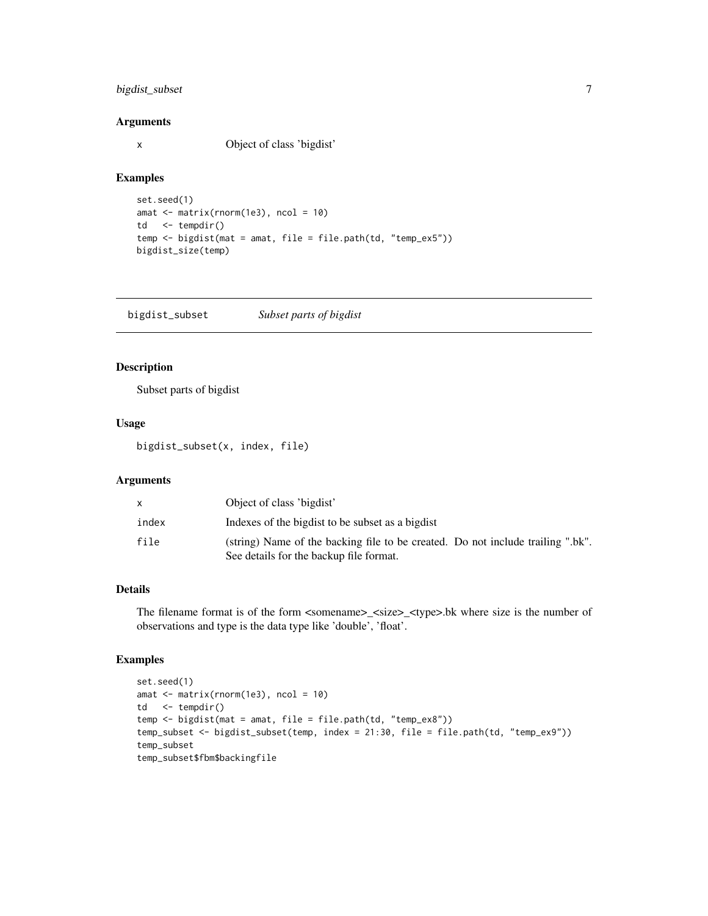#### <span id="page-6-0"></span>bigdist\_subset 7

#### Arguments

x Object of class 'bigdist'

#### Examples

```
set.seed(1)
amat <- matrix(rnorm(1e3), ncol = 10)
td <- tempdir()
temp <- bigdist(mat = amat, file = file.path(td, "temp_ex5"))
bigdist_size(temp)
```
bigdist\_subset *Subset parts of bigdist*

#### Description

Subset parts of bigdist

#### Usage

bigdist\_subset(x, index, file)

#### Arguments

| X     | Object of class 'bigdist'                                                                                                  |
|-------|----------------------------------------------------------------------------------------------------------------------------|
| index | Indexes of the bigdist to be subset as a bigdist                                                                           |
| file  | (string) Name of the backing file to be created. Do not include trailing ".bk".<br>See details for the backup file format. |

#### Details

The filename format is of the form <somename>\_<size>\_<type>.bk where size is the number of observations and type is the data type like 'double', 'float'.

#### Examples

```
set.seed(1)
amat \leq matrix(rnorm(1e3), ncol = 10)
td <- tempdir()
temp <- bigdist(mat = amat, file = file.path(td, "temp_ex8"))
temp_subset <- bigdist_subset(temp, index = 21:30, file = file.path(td, "temp_ex9"))
temp_subset
temp_subset$fbm$backingfile
```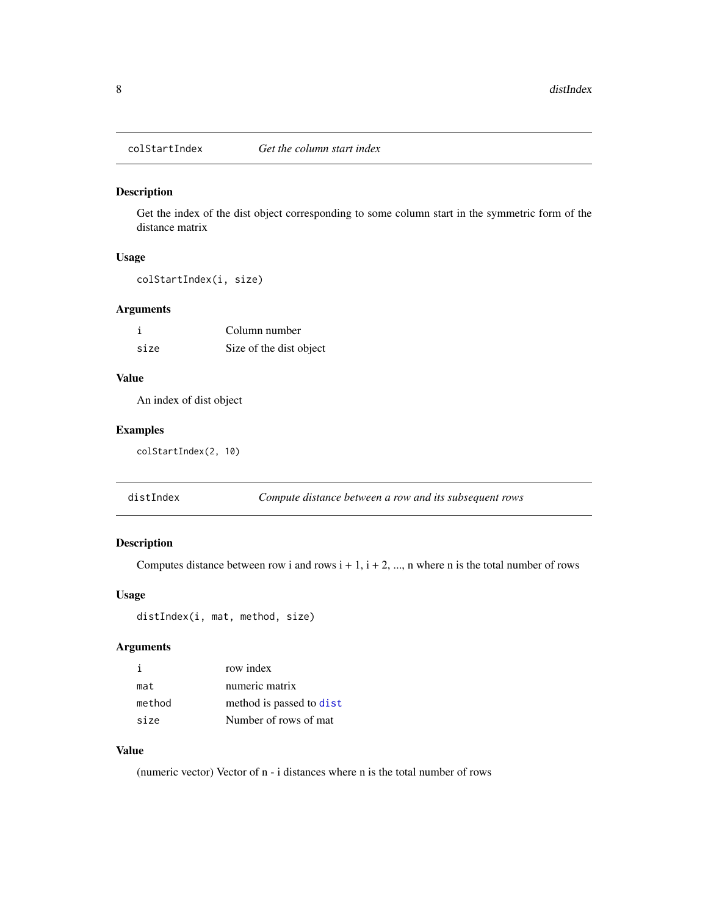<span id="page-7-0"></span>

#### Description

Get the index of the dist object corresponding to some column start in the symmetric form of the distance matrix

#### Usage

colStartIndex(i, size)

#### Arguments

|      | Column number           |
|------|-------------------------|
| size | Size of the dist object |

#### Value

An index of dist object

#### Examples

colStartIndex(2, 10)

| distIndex | Compute distance between a row and its subsequent rows |  |
|-----------|--------------------------------------------------------|--|
|-----------|--------------------------------------------------------|--|

#### Description

Computes distance between row i and rows  $i + 1$ ,  $i + 2$ , ..., n where n is the total number of rows

#### Usage

```
distIndex(i, mat, method, size)
```
#### Arguments

|        | row index                |
|--------|--------------------------|
| mat    | numeric matrix           |
| method | method is passed to dist |
| size   | Number of rows of mat.   |

#### Value

(numeric vector) Vector of n - i distances where n is the total number of rows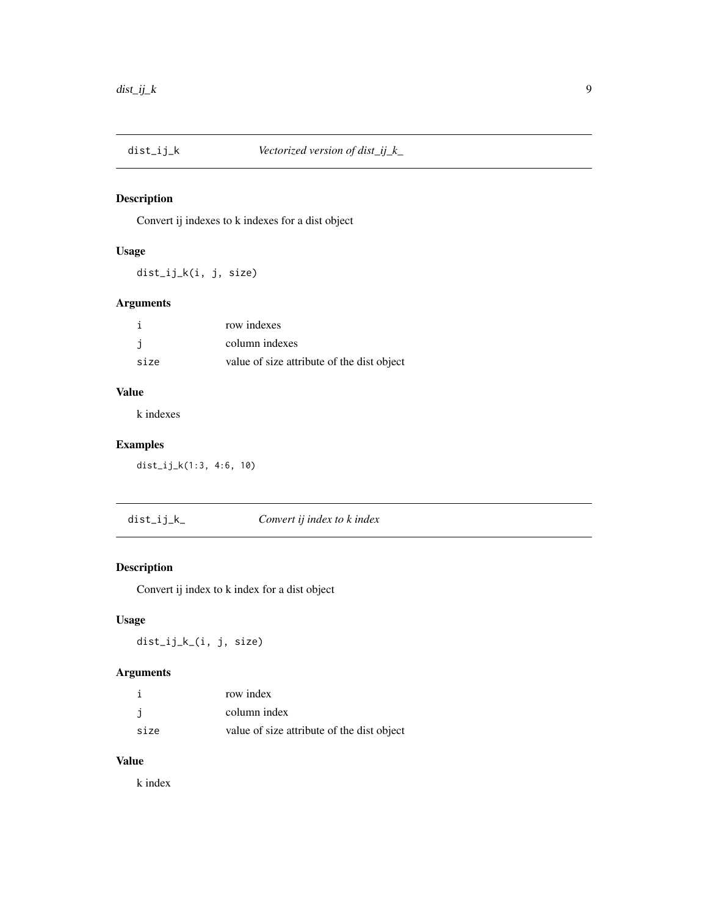<span id="page-8-0"></span>

## Description

Convert ij indexes to k indexes for a dist object

#### Usage

dist\_ij\_k(i, j, size)

#### Arguments

|      | row indexes                                |
|------|--------------------------------------------|
|      | column indexes                             |
| size | value of size attribute of the dist object |

## Value

k indexes

#### Examples

dist\_ij\_k(1:3, 4:6, 10)

dist\_ij\_k\_ *Convert ij index to k index*

## Description

Convert ij index to k index for a dist object

#### Usage

dist\_ij\_k\_(i, j, size)

#### Arguments

|      | row index                                  |
|------|--------------------------------------------|
|      | column index                               |
| size | value of size attribute of the dist object |

#### Value

k index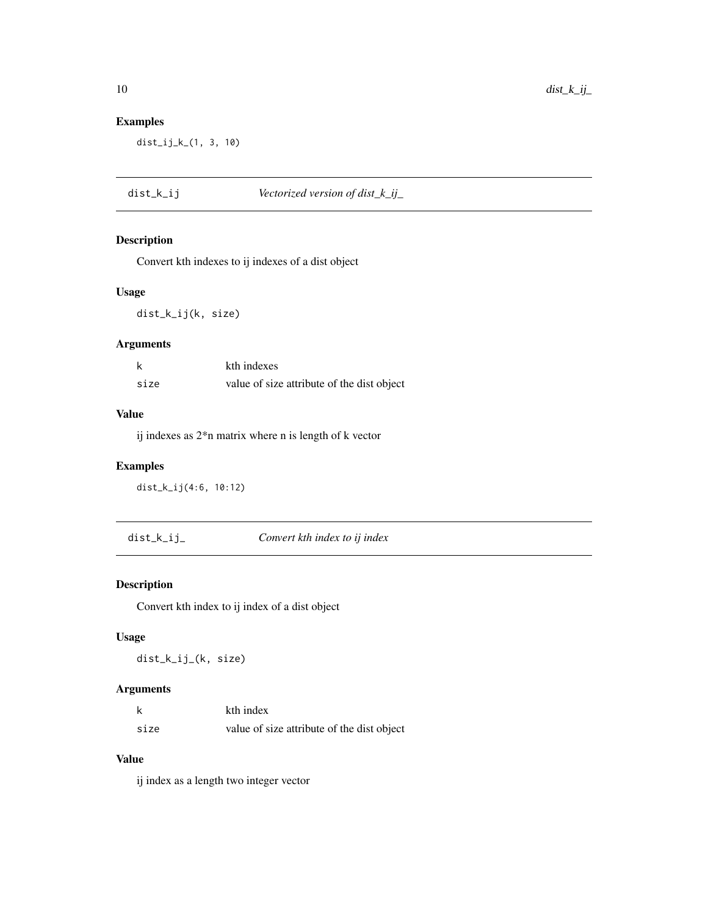#### Examples

dist\_ij\_k\_(1, 3, 10)

dist\_k\_ij *Vectorized version of dist\_k\_ij\_*

#### Description

Convert kth indexes to ij indexes of a dist object

#### Usage

dist\_k\_ij(k, size)

#### Arguments

| k    | kth indexes                                |
|------|--------------------------------------------|
| size | value of size attribute of the dist object |

#### Value

ij indexes as 2\*n matrix where n is length of k vector

#### Examples

dist\_k\_ij(4:6, 10:12)

dist\_k\_ij\_ *Convert kth index to ij index*

## Description

Convert kth index to ij index of a dist object

#### Usage

dist\_k\_ij\_(k, size)

## Arguments

| k    | kth index                                  |
|------|--------------------------------------------|
| size | value of size attribute of the dist object |

## Value

ij index as a length two integer vector

<span id="page-9-0"></span>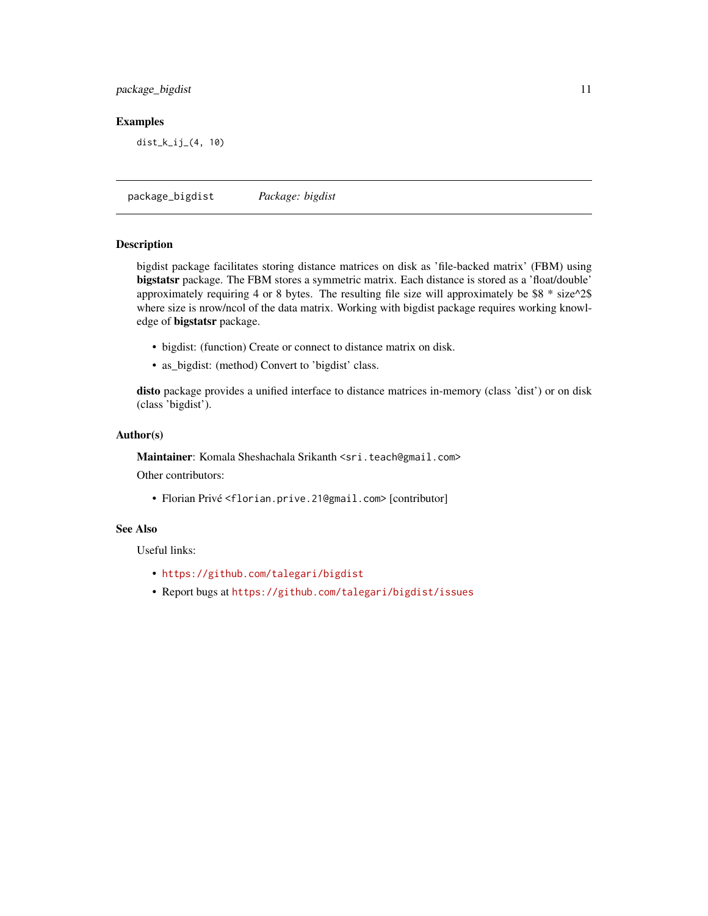#### <span id="page-10-0"></span>package\_bigdist 11

#### Examples

dist\_k\_ij\_(4, 10)

package\_bigdist *Package: bigdist*

#### Description

bigdist package facilitates storing distance matrices on disk as 'file-backed matrix' (FBM) using bigstatsr package. The FBM stores a symmetric matrix. Each distance is stored as a 'float/double' approximately requiring 4 or 8 bytes. The resulting file size will approximately be  $$8 * size^2$$ where size is nrow/ncol of the data matrix. Working with bigdist package requires working knowledge of bigstatsr package.

- bigdist: (function) Create or connect to distance matrix on disk.
- as\_bigdist: (method) Convert to 'bigdist' class.

disto package provides a unified interface to distance matrices in-memory (class 'dist') or on disk (class 'bigdist').

#### Author(s)

Maintainer: Komala Sheshachala Srikanth <sri.teach@gmail.com>

Other contributors:

• Florian Privé <florian.prive.21@gmail.com> [contributor]

#### See Also

Useful links:

- <https://github.com/talegari/bigdist>
- Report bugs at <https://github.com/talegari/bigdist/issues>